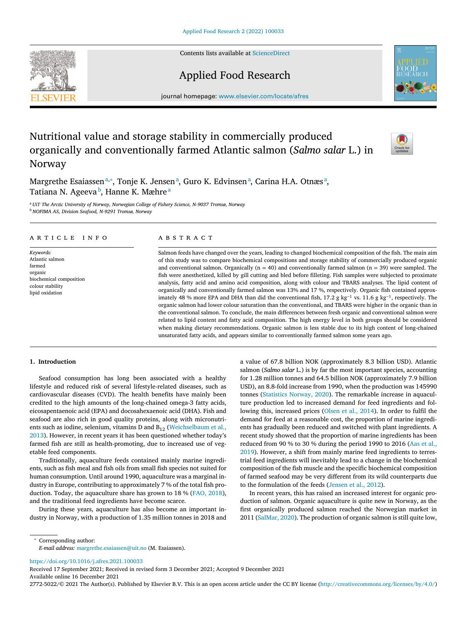Contents lists available at [ScienceDirect](http://www.ScienceDirect.com)

# Applied Food Research

journal homepage: [www.elsevier.com/locate/afres](http://www.elsevier.com/locate/afres)

# Nutritional value and storage stability in commercially produced organically and conventionally farmed Atlantic salmon (*Salmo salar* L.) in Norway

Margrethe Esaiassen<sup>a,∗</sup>, Tonje K. Jensen<sup>a</sup>, Guro K. Edvinsen<sup>a</sup>, Carina H.A. Otnæs<sup>a</sup>, Tatiana N. Ageeva<sup>b</sup>, Hanne K. Mæhre<sup>a</sup>

<sup>a</sup> *UiT The Arctic University of Norway, Norwegian College of Fishery Science, N-9037 Tromsø, Norway* <sup>b</sup> *NOFIMA AS, Division Seafood, N-9291 Tromsø, Norway*

## a r t i c l e i n f o

*Keywords:* Atlantic salmon farmed organic biochemical composition colour stability lipid oxidation

## a b s t r a c t

Salmon feeds have changed over the years, leading to changed biochemical composition of the fish. The main aim of this study was to compare biochemical compositions and storage stability of commercially produced organic and conventional salmon. Organically ( $n = 40$ ) and conventionally farmed salmon ( $n = 39$ ) were sampled. The fish were anesthetized, killed by gill cutting and bled before filleting. Fish samples were subjected to proximate analysis, fatty acid and amino acid composition, along with colour and TBARS analyses. The lipid content of organically and conventionally farmed salmon was 13% and 17 %, respectively. Organic fish contained approximately 48 % more EPA and DHA than did the conventional fish, 17.2 g kg<sup>-1</sup> vs. 11.6 g kg<sup>-1</sup>, respectively. The organic salmon had lower colour saturation than the conventional, and TBARS were higher in the organic than in the conventional salmon. To conclude, the main differences between fresh organic and conventional salmon were related to lipid content and fatty acid composition. The high energy level in both groups should be considered when making dietary recommendations. Organic salmon is less stable due to its high content of long-chained unsaturated fatty acids, and appears similar to conventionally farmed salmon some years ago.

## **1. Introduction**

Seafood consumption has long been associated with a healthy lifestyle and reduced risk of several lifestyle-related diseases, such as cardiovascular diseases (CVD). The health benefits have mainly been credited to the high amounts of the long-chained omega-3 fatty acids, eicosapentaenoic acid (EPA) and docosahexaenoic acid (DHA). Fish and seafood are also rich in good quality proteins, along with micronutrients such as iodine, selenium, vitamins D and  $B_{12}$  [\(Weichselbaum](#page-7-0) et al., 2013). However, in recent years it has been questioned whether today's farmed fish are still as health-promoting, due to increased use of vegetable feed components.

Traditionally, aquaculture feeds contained mainly marine ingredients, such as fish meal and fish oils from small fish species not suited for human consumption. Until around 1990, aquaculture was a marginal industry in Europe, contributing to approximately 7 % of the total fish production. Today, the aquaculture share has grown to 18 % (FAO, [2018\)](#page-6-0), and the traditional feed ingredients have become scarce.

During these years, aquaculture has also become an important industry in Norway, with a production of 1.35 million tonnes in 2018 and a value of 67.8 billion NOK (approximately 8.3 billion USD). Atlantic salmon (*Salmo salar* L.) is by far the most important species, accounting for 1.28 million tonnes and 64.5 billion NOK (approximately 7.9 billion USD), an 8.8-fold increase from 1990, when the production was 145990 tonnes [\(Statistics](#page-7-0) Norway, 2020). The remarkable increase in aquaculture production led to increased demand for feed ingredients and following this, increased prices [\(Olsen](#page-7-0) et al., 2014). In order to fulfil the demand for feed at a reasonable cost, the proportion of marine ingredients has gradually been reduced and switched with plant ingredients. A recent study showed that the proportion of marine ingredients has been reduced from 90 % to 30 % during the period 1990 to 2016 (Aas et al., 2019). However, a shift from mainly marine feed [ingredients](#page-6-0) to terrestrial feed ingredients will inevitably lead to a change in the biochemical composition of the fish muscle and the specific biochemical composition of farmed seafood may be very different from its wild counterparts due to the formulation of the feeds [\(Jensen](#page-6-0) et al., 2012).

In recent years, this has raised an increased interest for organic production of salmon. Organic aquaculture is quite new in Norway, as the first organically produced salmon reached the Norwegian market in 2011 [\(SalMar,](#page-7-0) 2020). The production of organic salmon is still quite low,

*E-mail address:* [margrethe.esaiassen@uit.no](mailto:margrethe.esaiassen@uit.no) (M. Esaiassen).

<https://doi.org/10.1016/j.afres.2021.100033>

<sup>∗</sup> Corresponding author:

Received 17 September 2021; Received in revised form 3 December 2021; Accepted 9 December 2021 Available online 16 December 2021

2772-5022/© 2021 The Author(s). Published by Elsevier B.V. This is an open access article under the CC BY license [\(http://creativecommons.org/licenses/by/4.0/\)](http://creativecommons.org/licenses/by/4.0/)



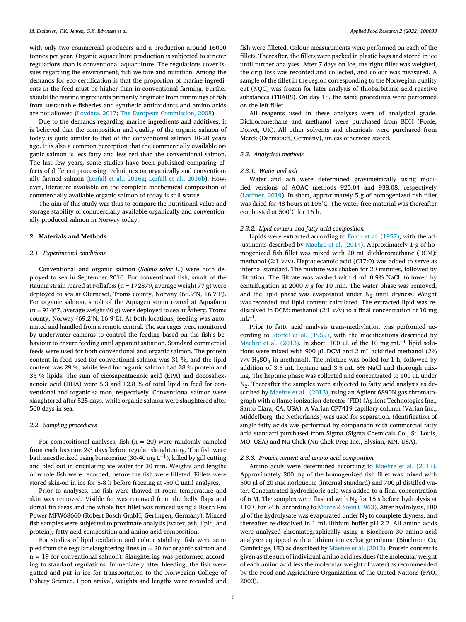<span id="page-1-0"></span>with only two commercial producers and a production around 16000 tonnes per year. Organic aquaculture production is subjected to stricter regulations than is conventional aquaculture. The regulations cover issues regarding the environment, fish welfare and nutrition. Among the demands for eco-certification is that the proportion of marine ingredients in the feed must be higher than in conventional farming. Further should the marine ingredients primarily originate from trimmings of fish from sustainable fisheries and synthetic antioxidants and amino acids are not allowed [\(Lovdata,](#page-6-0) 2017; The European [Commission,](#page-7-0) 2008).

Due to the demands regarding marine ingredients and additives, it is believed that the composition and quality of the organic salmon of today is quite similar to that of the conventional salmon 10-20 years ago. It is also a common perception that the commercially available organic salmon is less fatty and less red than the conventional salmon. The last few years, some studies have been published comparing effects of different processing techniques on organically and conventionally farmed salmon [\(Lerfall](#page-6-0) et al., 2016a; Lerfall et al., [2016b\)](#page-6-0). However, literature available on the complete biochemical composition of commercially available organic salmon of today is still scarce.

The aim of this study was thus to compare the nutritional value and storage stability of commercially available organically and conventionally produced salmon in Norway today.

#### **2. Materials and Methods**

#### *2.1. Experimental conditions*

Conventional and organic salmon (*Salmo salar L.*) were both deployed to sea in September 2016. For conventional fish, smolt of the Rauma strain reared at Follafoss ( $n = 172879$ , average weight 77 g) were deployed to sea at Oterneset, Troms county, Norway (68.9°N, 16.7°E). For organic salmon, smolt of the Aquagen strain reared at Aquafarm  $(n = 91467, \text{ average weight } 60 \text{ g})$  were deployed to sea at Årberg, Troms county, Norway (69.2°N, 16.9°E). At both locations, feeding was automated and handled from a remote central. The sea cages were monitored by underwater cameras to control the feeding based on the fish's behaviour to ensure feeding until apparent satiation. Standard commercial feeds were used for both conventional and organic salmon. The protein content in feed used for conventional salmon was 31 %, and the lipid content was 29 %, while feed for organic salmon had 28 % protein and 33 % lipids. The sum of eicosapentaenoic acid (EPA) and docosahexaenoic acid (DHA) were 5.3 and 12.8 % of total lipid in feed for conventional and organic salmon, respectively. Conventional salmon were slaughtered after 525 days, while organic salmon were slaughtered after 560 days in sea.

#### *2.2. Sampling procedures*

For compositional analyses, fish  $(n = 20)$  were randomly sampled from each location 2-3 days before regular slaughtering. The fish were bath anesthetized using benzocaine (30-40 mg L<sup>−</sup>1), killed by gill cutting and bled out in circulating ice water for 30 min. Weights and lengths of whole fish were recorded, before the fish were filleted. Fillets were stored skin-on in ice for 5-8 h before freezing at -50°C until analyses.

Prior to analyses, the fish were thawed at room temperature and skin was removed. Visible fat was removed from the belly flaps and dorsal fin areas and the whole fish fillet was minced using a Bosch Pro Power MFW68660 (Robert Bosch GmbH, Gerlingen, Germany). Minced fish samples were subjected to proximate analysis (water, ash, lipid, and protein), fatty acid composition and amino acid composition.

For studies of lipid oxidation and colour stability, fish were sampled from the regular slaughtering lines ( $n = 20$  for organic salmon and  $n = 19$  for conventional salmon). Slaughtering was performed according to standard regulations. Immediately after bleeding, the fish were gutted and put in ice for transportation to the Norwegian College of Fishery Science. Upon arrival, weights and lengths were recorded and fish were filleted. Colour measurements were performed on each of the fillets. Thereafter, the fillets were packed in plastic bags and stored in ice until further analyses. After 7 days on ice, the right fillet was weighed, the drip loss was recorded and collected, and colour was measured. A sample of the fillet in the region corresponding to the Norwegian quality cut (NQC) was frozen for later analysis of thiobarbituric acid reactive substances (TBARS). On day 18, the same procedures were performed on the left fillet.

All reagents used in these analyses were of analytical grade. Dichloromethane and methanol were purchased from BDH (Poole, Dorset, UK). All other solvents and chemicals were purchased from Merck (Darmstadt, Germany), unless otherwise stated.

#### *2.3. Analytical methods*

#### *2.3.1. Water and ash*

Water and ash were determined gravimetrically using modified versions of AOAC methods 925.04 and 938.08, respectively [\(Latimer,](#page-6-0) 2019). In short, approximately 5 g of homogenized fish fillet was dried for 48 hours at 105°C. The water-free material was thereafter combusted at 500°C for 16 h.

### *2.3.2. Lipid content and fatty acid composition*

Lipids were extracted according to Folch et al. [\(1957\),](#page-6-0) with the adjustments described by [Maehre](#page-7-0) et al. (2014). Approximately 1 g of homogenized fish fillet was mixed with 20 mL dichloromethane (DCM): methanol (2:1 v/v). Heptadecanoic acid (C17:0) was added to serve as internal standard. The mixture was shaken for 20 minutes, followed by filtration. The filtrate was washed with 4 mL 0.9% NaCl, followed by centrifugation at 2000  $x$   $g$  for 10 min. The water phase was removed, and the lipid phase was evaporated under  $N_2$  until dryness. Weight was recorded and lipid content calculated. The extracted lipid was redissolved in DCM: methanol  $(2:1 \text{ v/v})$  to a final concentration of 10 mg  $mL^{-1}$ .

Prior to fatty acid analysis trans-methylation was performed according to Stoffel et al. [\(1959\),](#page-7-0) with the modifications described by [Maehre](#page-7-0) et al. (2013). In short, 100 μL of the 10 mg mL−<sup>1</sup> lipid solutions were mixed with 900 μL DCM and 2 mL acidified methanol (2%  $v/v$  H<sub>2</sub>SO<sub>4</sub> in methanol). The mixture was boiled for 1 h, followed by addition of 3.5 mL heptane and 3.5 mL 5% NaCl and thorough mixing. The heptane phase was collected and concentrated to 100 μL under  $N_2$ . Thereafter the samples were subjected to fatty acid analysis as described by [Maehre](#page-7-0) et al., (2013), using an Agilent 6890N gas chromatograph with a flame ionization detector (FID) (Agilent Technologies Inc., Santo Clara, CA, USA). A Varian CP7419 capillary column (Varian Inc., Middelburg, the Netherlands) was used for separation. Identification of single fatty acids was performed by comparison with commercial fatty acid standard purchased from Sigma (Sigma Chemicals Co., St. Louis, MO, USA) and Nu-Chek (Nu-Chek Prep Inc., Elysian, MN, USA).

## *2.3.3. Protein content and amino acid composition*

Amino acids were determined according to [Maehre](#page-7-0) et al. (2013). Approximately 200 mg of the homogenized fish fillet was mixed with 500 μl of 20 mM norleucine (internal standard) and 700 μl distilled water. Concentrated hydrochloric acid was added to a final concentration of 6 M. The samples were flushed with  $N_2$  for 15 s before hydrolysis at 110°C for 24 h, according to Moore & Stein [\(1963\).](#page-7-0) After hydrolysis, 100 μl of the hydrolysate was evaporated under  $N_2$  to complete dryness, and thereafter re-dissolved in 1 mL lithium buffer pH 2.2. All amino acids were analyzed chromatographically using a Biochrom 30 amino acid analyzer equipped with a lithium ion exchange column (Biochrom Co, Cambridge, UK) as described by [Maehre](#page-7-0) et al. (2013). Protein content is given as the sum of individual amino acid residues (the molecular weight of each amino acid less the molecular weight of water) as recommended by the Food and Agriculture Organization of the United Nations (FAO, 2003).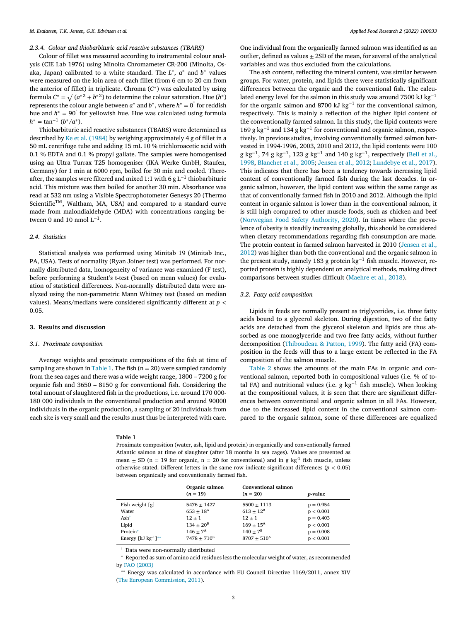## *2.3.4. Colour and thiobarbituric acid reactive substances (TBARS)*

Colour of fillet was measured according to instrumental colour analysis (CIE Lab 1976) using Minolta Chromameter CR-200 (Minolta, Osaka, Japan) calibrated to a white standard. The *L*∗*, a*<sup>∗</sup> and *b*<sup>∗</sup> values were measured on the loin area of each fillet (from 6 cm to 20 cm from the anterior of fillet) in triplicate. Chroma (*C*∗) was calculated by using formula  $C^* = \sqrt{(a^*^2 + b^*^2)}$  to determine the colour saturation. Hue  $(h^*)$ represents the colour angle between  $a^*$  and  $b^*$ , where  $h^* = 0$ <sup>°</sup> for reddish hue and *h*<sup>∗</sup> = 90° for yellowish hue. Hue was calculated using formula  $h^* = \tan^{-1} (b^*/a^*)$ .

Thiobarbituric acid reactive substances (TBARS) were determined as described by Ke et al. [\(1984\)](#page-6-0) by weighing approximately 4 g of fillet in a 50 mL centrifuge tube and adding 15 mL 10 % trichloroacetic acid with 0.1 % EDTA and 0.1 % propyl gallate. The samples were homogenised using an Ultra Turrax T25 homogeniser (IKA Werke GmbH, Staufen, Germany) for 1 min at 6000 rpm, boiled for 30 min and cooled. Thereafter, the samples were filtered and mixed 1:1 with 6 g L−<sup>1</sup> thiobarbituric acid. This mixture was then boiled for another 30 min. Absorbance was read at 532 nm using a Visible Spectrophotometer Genesys 20 (Thermo Scientific<sup>TM</sup>, Waltham, MA, USA) and compared to a standard curve made from malondialdehyde (MDA) with concentrations ranging between 0 and 10 nmol  $L^{-1}$ .

## *2.4. Statistics*

Statistical analysis was performed using Minitab 19 (Minitab Inc., PA, USA). Tests of normality (Ryan Joiner test) was performed. For normally distributed data, homogeneity of variance was examined (F test), before performing a Student's t-test (based on mean values) for evaluation of statistical differences. Non-normally distributed data were analyzed using the non-parametric Mann Whitney test (based on median values). Means/medians were considered significantly different at *p <* 0.05.

## **3. Results and discussion**

## *3.1. Proximate composition*

Average weights and proximate compositions of the fish at time of sampling are shown in Table 1. The fish  $(n = 20)$  were sampled randomly from the sea cages and there was a wide weight range, 1800 – 7200 g for organic fish and 3650 – 8150 g for conventional fish. Considering the total amount of slaughtered fish in the productions, i.e. around 170 000- 180 000 individuals in the conventional production and around 90000 individuals in the organic production, a sampling of 20 individuals from each site is very small and the results must thus be interpreted with care.

#### **Table 1**

One individual from the organically farmed salmon was identified as an outlier, defined as values  $\pm$  2SD of the mean, for several of the analytical variables and was thus excluded from the calculations.

The ash content, reflecting the mineral content, was similar between groups. For water, protein, and lipids there were statistically significant differences between the organic and the conventional fish. The calculated energy level for the salmon in this study was around 7500 kJ kg<sup>-1</sup> for the organic salmon and 8700 kJ kg<sup>-1</sup> for the conventional salmon, respectively. This is mainly a reflection of the higher lipid content of the conventionally farmed salmon. In this study, the lipid contents were 169 g kg<sup>-1</sup> and 134 g kg<sup>-1</sup> for conventional and organic salmon, respectively. In previous studies, involving conventionally farmed salmon harvested in 1994-1996, 2003, 2010 and 2012, the lipid contents were 100 g kg<sup>-1</sup>, 74 g kg<sup>-1</sup>, 123 g kg<sup>-1</sup> and 140 g kg<sup>-1</sup>, [respectively](#page-6-0) (Bell et al., 1998, [Blanchet](#page-6-0) et al., 2005; [Jensen](#page-6-0) et al., 2012; [Lundebye](#page-6-0) et al., 2017). This indicates that there has been a tendency towards increasing lipid content of conventionally farmed fish during the last decades. In organic salmon, however, the lipid content was within the same range as that of conventionally farmed fish in 2010 and 2012. Although the lipid content in organic salmon is lower than in the conventional salmon, it is still high compared to other muscle foods, such as chicken and beef [\(Norwegian](#page-7-0) Food Safety Authority, 2020). In times where the prevalence of obesity is steadily increasing globally, this should be considered when dietary recommendations regarding fish consumption are made. The protein content in farmed salmon harvested in 2010 (Jensen et al., 2012) was higher than both the [conventional](#page-6-0) and the organic salmon in the present study, namely 183 g protein kg−<sup>1</sup> fish muscle. However, reported protein is highly dependent on analytical methods, making direct comparisons between studies difficult [\(Maehre](#page-7-0) et al., 2018).

## *3.2. Fatty acid composition*

Lipids in feeds are normally present as triglycerides, i.e. three fatty acids bound to a glycerol skeleton. During digestion, two of the fatty acids are detached from the glycerol skeleton and lipids are thus absorbed as one monoglyceride and two free fatty acids, without further decomposition [\(Thiboudeau](#page-7-0) & Patton, 1999). The fatty acid (FA) composition in the feeds will thus to a large extent be reflected in the FA composition of the salmon muscle.

[Table](#page-3-0) 2 shows the amounts of the main FAs in organic and conventional salmon, reported both in compositional values (i.e. % of total FA) and nutritional values (i.e. g kg<sup>-1</sup> fish muscle). When looking at the compositional values, it is seen that there are significant differences between conventional and organic salmon in all FAs. However, due to the increased lipid content in the conventional salmon compared to the organic salmon, some of these differences are equalized

Proximate composition (water, ash, lipid and protein) in organically and conventionally farmed Atlantic salmon at time of slaughter (after 18 months in sea cages). Values are presented as mean  $\pm$  SD (n = 19 for organic, n = 20 for conventional) and in g kg<sup>-1</sup> fish muscle, unless otherwise stated. Different letters in the same row indicate significant differences (*p <* 0.05) between organically and conventionally farmed fish.

|                            | Organic salmon<br>$(n = 19)$ | Conventional salmon<br>$(n = 20)$ | <i>p</i> -value |
|----------------------------|------------------------------|-----------------------------------|-----------------|
| Fish weight [g]            | $5476 \pm 1427$              | $5500 \pm 1113$                   | $p = 0.954$     |
| Water                      | $653 + 18^{A}$               | $613 + 12^B$                      | p < 0.001       |
| Ash <sup>†</sup>           | $12 + 1$                     | $12 + 1$                          | $p = 0.403$     |
| Lipid                      | $134 + 20^{B}$               | $169 + 15^{A}$                    | p < 0.001       |
| Protein*                   | $146 + 7^A$                  | $140 + 7^B$                       | $p = 0.008$     |
| Energy $[kJ kg^{-1}]^{**}$ | $7478 + 710^B$               | $8707 + 510^{A}$                  | p < 0.001       |

† Data were non-normally distributed

<sup>∗</sup> Reported as sum of amino acid residues less the molecular weight of water, as recommended by FAO [\(2003\)](#page-6-0)

∗∗ Energy was calculated in accordance with EU Council Directive 1169/2011, annex XIV (The European [Commission,](#page-7-0) 2011).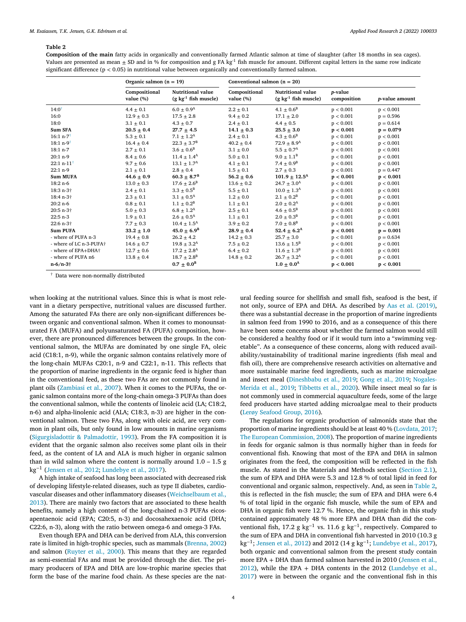### <span id="page-3-0"></span>**Table 2**

**Composition of the main** fatty acids in organically and conventionally farmed Atlantic salmon at time of slaughter (after 18 months in sea cages). Values are presented as mean  $\pm$  SD and in % for composition and g FA kg<sup>-1</sup> fish muscle for amount. Different capital letters in the same row indicate significant difference (p *<* 0.05) in nutritional value between organically and conventionally farmed salmon.

|                                           | Organic salmon $(n = 19)$     |                                                               |                               | Conventional salmon $(n = 20)$                                |                                |                        |
|-------------------------------------------|-------------------------------|---------------------------------------------------------------|-------------------------------|---------------------------------------------------------------|--------------------------------|------------------------|
|                                           | Compositional<br>value $(\%)$ | <b>Nutritional value</b><br>$(g \text{ kg}^{-1}$ fish muscle) | Compositional<br>value $(\%)$ | <b>Nutritional value</b><br>$(g \text{ kg}^{-1}$ fish muscle) | <i>p</i> -value<br>composition | <i>p</i> -value amount |
| $14:0^{\dagger}$                          | $4.4 \pm 0.1$                 | $6.0 \pm 0.9$ <sup>A</sup>                                    | $2.2 \pm 0.1$                 | $4.1 \pm 0.6^{\rm B}$                                         | p < 0.001                      | p < 0.001              |
| 16:0                                      | $12.9 \pm 0.3$                | $17.5 \pm 2.8$                                                | $9.4 \pm 0.2$                 | $17.1 \pm 2.0$                                                | p < 0.001                      | $p = 0.596$            |
| 18:0                                      | $3.1 \pm 0.1$                 | $4.3 \pm 0.7$                                                 | $2.4 \pm 0.1$                 | $4.4 \pm 0.5$                                                 | p < 0.001                      | $p = 0.614$            |
| Sum SFA                                   | $20.5 + 0.4$                  | $27.7 \pm 4.5$                                                | $14.1 + 0.3$                  | $25.5 + 3.0$                                                  | p < 0.001                      | $p = 0.079$            |
| $16:1 n-7$                                | $5.3 \pm 0.1$                 | $7.1 \pm 1.2^{\rm A}$                                         | $2.4 \pm 0.1$                 | $4.3 \pm 0.6^{\rm B}$                                         | p < 0.001                      | p < 0.001              |
| $18:1 n-9$                                | $16.4 \pm 0.4$                | $22.3 \pm 3.7^B$                                              | $40.2 \pm 0.4$                | $72.9 \pm 8.9^{\rm A}$                                        | p < 0.001                      | p < 0.001              |
| $18:1 n-7$                                | $2.7 \pm 0.1$                 | $3.6 \pm 0.6^{\rm B}$                                         | $3.1 \pm 0.0$                 | $5.5 + 0.7^{\rm A}$                                           | p < 0.001                      | p < 0.001              |
| $20:1 n-9$                                | $8.4 \pm 0.6$                 | $11.4 \pm 1.4^{\rm A}$                                        | $5.0 \pm 0.1$                 | $9.0 \pm 1.1^{\rm B}$                                         | p < 0.001                      | p < 0.001              |
| 22:1 n-11 <sup><math>\dagger</math></sup> | $9.7 \pm 0.6$                 | $13.1 \pm 1.7^{\rm A}$                                        | $4.1 \pm 0.1$                 | $7.4 \pm 0.9^{\rm B}$                                         | p < 0.001                      | p < 0.001              |
| $22:1 n-9$                                | $2.1 \pm 0.1$                 | $2.8 \pm 0.4$                                                 | $1.5 \pm 0.1$                 | $2.7 \pm 0.3$                                                 | p < 0.001                      | $p = 0.447$            |
| <b>Sum MUFA</b>                           | $44.6 + 0.9$                  | $60.3 \pm 8.7^{\rm B}$                                        | $56.2 \pm 0.6$                | $101.9 + 12.5A$                                               | p < 0.001                      | p < 0.001              |
| $18:2 n-6$                                | $13.0 \pm 0.3$                | $17.6 \pm 2.6^B$                                              | $13.6 \pm 0.2$                | $24.7 \pm 3.0^{\rm A}$                                        | p < 0.001                      | p < 0.001              |
| 18:3 n-3+                                 | $2.4 \pm 0.1$                 | $3.3 \pm 0.5^{\rm B}$                                         | $5.5 \pm 0.1$                 | $10.0 \pm 1.3^{\rm A}$                                        | p < 0.001                      | p < 0.001              |
| 18:4 n-3†                                 | $2.3 \pm 0.1$                 | $3.1 \pm 0.5^{\rm A}$                                         | $1.2 \pm 0.0$                 | $2.1 \pm 0.2^B$                                               | p < 0.001                      | p < 0.001              |
| $20:2 n-6$                                | $0.8 + 0.1$                   | $1.1 + 0.2^B$                                                 | $1.1 \pm 0.1$                 | $2.0 \pm 0.2^{\rm A}$                                         | p < 0.001                      | p < 0.001              |
| 20:5 n-3 <sup>+</sup>                     | $5.0 \pm 0.3$                 | $6.8 \pm 1.2^{\rm A}$                                         | $2.5 \pm 0.1$                 | $4.6 \pm 0.5^{\rm B}$                                         | p < 0.001                      | p < 0.001              |
| $22:5 n-3$                                | $1.9 \pm 0.1$                 | $2.6 \pm 0.5^{\rm A}$                                         | $1.1 \pm 0.1$                 | $2.0 \pm 0.3^{\rm B}$                                         | p < 0.001                      | p < 0.001              |
| 22:6 n-3†                                 | $7.7 \pm 0.3$                 | $10.4 \pm 1.5^{\rm A}$                                        | $3.9 \pm 0.2$                 | $7.0 \pm 0.8^{\rm B}$                                         | p < 0.001                      | p < 0.001              |
| <b>Sum PUFA</b>                           | $33.2 + 1.0$                  | $45.0 + 6.9^B$                                                | $28.9 + 0.4$                  | 52.4 $\pm$ 6.2 <sup>A</sup>                                   | p < 0.001                      | $p = 0.001$            |
| - where of PUFA n-3                       | $19.4 \pm 0.8$                | $26.2 \pm 4.2$                                                | $14.2 \pm 0.3$                | $25.7 \pm 3.0$                                                | p < 0.001                      | $p = 0.634$            |
| - where of LC n-3-PUFA+                   | $14.6 \pm 0.7$                | $19.8 \pm 3.2^{\rm A}$                                        | $7.5 \pm 0.2$                 | $13.6 \pm 1.5^B$                                              | p < 0.001                      | p < 0.001              |
| - where of EPA+DHA+                       | $12.7 \pm 0.6$                | $17.2 \pm 2.8$ <sup>A</sup>                                   | $6.4 \pm 0.2$                 | $11.6 \pm 1.3^B$                                              | p < 0.001                      | p < 0.001              |
| - where of PUFA n6                        | $13.8 \pm 0.4$                | $18.7 \pm 2.8^{\rm B}$                                        | $14.8 \pm 0.2$                | $26.7 \pm 3.2^{\rm A}$                                        | p < 0.001                      | p < 0.001              |
| $n-6/n-3\dagger$                          |                               | $0.7 + 0.0^B$                                                 |                               | $1.0 + 0.0^A$                                                 | p < 0.001                      | p < 0.001              |

 $^\dagger$  Data were non-normally distributed

when looking at the nutritional values. Since this is what is most relevant in a dietary perspective, nutritional values are discussed further. Among the saturated FAs there are only non-significant differences between organic and conventional salmon. When it comes to monounsaturated FA (MUFA) and polyunsaturated FA (PUFA) composition, however, there are pronounced differences between the groups. In the conventional salmon, the MUFAs are dominated by one single FA, oleic acid (C18:1, n-9), while the organic salmon contains relatively more of the long-chain MUFAs C20:1, n-9 and C22:1, n-11. This reflects that the proportion of marine ingredients in the organic feed is higher than in the conventional feed, as these two FAs are not commonly found in plant oils [\(Zambiasi](#page-7-0) et al., 2007). When it comes to the PUFAs, the organic salmon contains more of the long-chain omega-3 PUFAs than does the conventional salmon, while the contents of linoleic acid (LA; C18:2, n-6) and alpha-linolenic acid (ALA; C18:3, n-3) are higher in the conventional salmon. These two FAs, along with oleic acid, are very common in plant oils, but only found in low amounts in marine organisms [\(Sigurgisladottir](#page-7-0) & Palmadottir, 1993). From the FA composition it is evident that the organic salmon also receives some plant oils in their feed, as the content of LA and ALA is much higher in organic salmon than in wild salmon where the content is normally around  $1.0 - 1.5$  g kg−<sup>1</sup> [\(Jensen](#page-6-0) et al., 2012; [Lundebye](#page-6-0) et al., 2017).

A high intake of seafood has long been associated with decreased risk of developing lifestyle-related diseases, such as type II diabetes, cardiovascular diseases and other inflammatory diseases [\(Weichselbaum](#page-7-0) et al., 2013). There are mainly two factors that are associated to these health benefits, namely a high content of the long-chained n-3 PUFAs eicosapentaenoic acid (EPA; C20:5, n-3) and docosahexaenoic acid (DHA; C22:6, n-3), along with the ratio between omega-6 and omega-3 FAs.

Even though EPA and DHA can be derived from ALA, this conversion rate is limited in high-trophic species, such as mammals [\(Brenna,](#page-6-0) 2002) and salmon [\(Ruyter](#page-7-0) et al., 2000). This means that they are regarded as semi-essential FAs and must be provided through the diet. The primary producers of EPA and DHA are low-trophic marine species that form the base of the marine food chain. As these species are the nat-

ural feeding source for shellfish and small fish, seafood is the best, if not only, source of EPA and DHA. As described by Aas et al. [\(2019\),](#page-6-0) there was a substantial decrease in the proportion of marine ingredients in salmon feed from 1990 to 2016, and as a consequence of this there have been some concerns about whether the farmed salmon would still be considered a healthy food or if it would turn into a "swimming vegetable". As a consequence of these concerns, along with reduced availability/sustainability of traditional marine ingredients (fish meal and fish oil), there are comprehensive research activities on alternative and more sustainable marine feed ingredients, such as marine microalgae and insect meal [\(](#page-7-0)[Dineshbabu](#page-6-0) et al., 2019; Gong et al., [2019;](#page-6-0) Nogales-Merida et al., 2019; [Tibbetts](#page-7-0) et al., 2020). While insect meal so far is not commonly used in commercial aquaculture feeds, some of the large feed producers have started adding microalgae meal to their products (Lerøy [Seafood](#page-6-0) Group, 2016).

The regulations for organic production of salmonids state that the proportion of marine ingredients should be at least 40 % [\(Lovdata,](#page-6-0) 2017; The European [Commission,](#page-7-0) 2008). The proportion of marine ingredients in feeds for organic salmon is thus normally higher than in feeds for conventional fish. Knowing that most of the EPA and DHA in salmon originates from the feed, the composition will be reflected in the fish muscle. As stated in the Materials and Methods section [\(Section](#page-1-0) 2.1), the sum of EPA and DHA were 5.3 and 12.8 % of total lipid in feed for conventional and organic salmon, respectively. And, as seen in Table 2, this is reflected in the fish muscle; the sum of EPA and DHA were 6.4 % of total lipid in the organic fish muscle, while the sum of EPA and DHA in organic fish were 12.7 %. Hence, the organic fish in this study contained approximately 48 % more EPA and DHA than did the conventional fish, 17.2 g kg<sup>-1</sup> vs. 11.6 g kg<sup>-1</sup>, respectively. Compared to the sum of EPA and DHA in conventional fish harvested in 2010 (10.3 g kg<sup>−</sup>1; [Jensen](#page-6-0) et al., 2012) and 2012 (14 g kg<sup>−</sup>1; [Lundebye](#page-6-0) et al., 2017), both organic and conventional salmon from the present study contain more EPA + DHA than farmed salmon harvested in 2010 (Jensen et al., 2012), while the EPA + DHA contents in the 2012 [\(Lundebye](#page-6-0) et al., 2017) were in between the organic and the [conventional](#page-6-0) fish in this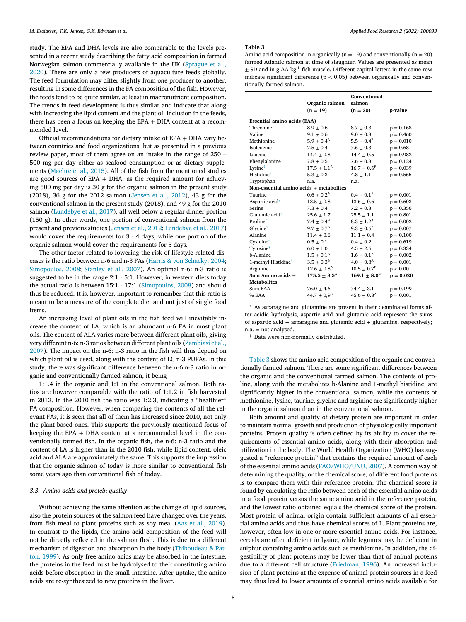study. The EPA and DHA levels are also comparable to the levels presented in a recent study describing the fatty acid composition in farmed Norwegian salmon [commercially](#page-7-0) available in the UK (Sprague et al., 2020). There are only a few producers of aquaculture feeds globally. The feed formulation may differ slightly from one producer to another, resulting in some differences in the FA composition of the fish. However, the feeds tend to be quite similar, at least in macronutrient composition. The trends in feed development is thus similar and indicate that along with increasing the lipid content and the plant oil inclusion in the feeds, there has been a focus on keeping the EPA + DHA content at a recommended level.

Official recommendations for dietary intake of EPA + DHA vary between countries and food organizations, but as presented in a previous review paper, most of them agree on an intake in the range of 250 – 500 mg per day either as seafood consumption or as dietary supplements [\(Maehre](#page-7-0) et al., 2015). All of the fish from the mentioned studies are good sources of EPA + DHA, as the required amount for achieving 500 mg per day is 30 g for the organic salmon in the present study (2018), 36 g for the 2012 salmon [\(Jensen](#page-6-0) et al., 2012), 43 g for the conventional salmon in the present study (2018), and 49 g for the 2010 salmon [\(Lundebye](#page-6-0) et al., 2017), all well below a regular dinner portion (150 g). In other words, one portion of conventional salmon from the present and previous studies [\(Jensen](#page-6-0) et al., 2012; [Lundebye](#page-6-0) et al., 2017) would cover the requirements for 3 - 4 days, while one portion of the organic salmon would cover the requirements for 5 days.

The other factor related to lowering the risk of lifestyle-related diseases is the ratio between n-6 and n-3 FAs (Harris & von [Schacky,](#page-6-0) 2004; [Simopoulos,](#page-7-0) 2008; [Stanley](#page-7-0) et al., 2007). An optimal n-6: n-3 ratio is suggested to be in the range 2:1 - 5:1. However, in western diets today the actual ratio is between 15:1 - 17:1 [\(Simopoulos,](#page-7-0) 2008) and should thus be reduced. It is, however, important to remember that this ratio is meant to be a measure of the complete diet and not just of single food items.

An increasing level of plant oils in the fish feed will inevitably increase the content of LA, which is an abundant n-6 FA in most plant oils. The content of ALA varies more between different plant oils, giving very different n-6: n-3 ratios between different plant oils [\(Zambiasi](#page-7-0) et al., 2007). The impact on the n-6: n-3 ratio in the fish will thus depend on which plant oil is used, along with the content of LC n-3 PUFAs. In this study, there was significant difference between the n-6:n-3 ratio in organic and conventionally farmed salmon, it being

1:1.4 in the organic and 1:1 in the conventional salmon. Both ratios are however comparable with the ratio of 1:1.2 in fish harvested in 2012. In the 2010 fish the ratio was 1:2.3, indicating a "healthier" FA composition. However, when comparing the contents of all the relevant FAs, it is seen that all of them has increased since 2010, not only the plant-based ones. This supports the previously mentioned focus of keeping the EPA + DHA content at a recommended level in the conventionally farmed fish. In the organic fish, the n-6: n-3 ratio and the content of LA is higher than in the 2010 fish, while lipid content, oleic acid and ALA are approximately the same. This supports the impression that the organic salmon of today is more similar to conventional fish some years ago than conventional fish of today.

#### *3.3. Amino acids and protein quality*

Without achieving the same attention as the change of lipid sources, also the protein sources of the salmon feed have changed over the years, from fish meal to plant proteins such as soy meal (Aas et al., [2019\)](#page-6-0). In contrast to the lipids, the amino acid composition of the feed will not be directly reflected in the salmon flesh. This is due to a different mechanism of digestion and absorption in the body [\(Thiboudeau](#page-7-0) & Patton, 1999). As only free amino acids may be absorbed in the intestine, the proteins in the feed must be hydrolysed to their constituting amino acids before absorption in the small intestine. After uptake, the amino acids are re-synthesized to new proteins in the liver.

#### **Table 3**

Amino acid composition in organically  $(n = 19)$  and conventionally  $(n = 20)$ farmed Atlantic salmon at time of slaughter. Values are presented as mean  $\pm$  SD and in g AA kg<sup>-1</sup> fish muscle. Different capital letters in the same row indicate significant difference (p *<* 0.05) between organically and conventionally farmed salmon.

|                                         | Organic salmon              | Conventional<br>salmon      |             |
|-----------------------------------------|-----------------------------|-----------------------------|-------------|
|                                         | $(n = 19)$                  | $(n = 20)$                  | p-value     |
| <b>Essential amino acids (EAA)</b>      |                             |                             |             |
| Threonine                               | $8.9 + 0.6$                 | $8.7 + 0.3$                 | $p = 0.168$ |
| Valine                                  | $9.1 \pm 0.6$               | $9.0 \pm 0.3$               | $p = 0.460$ |
| Methionine                              | $5.9 \pm 0.4^{\rm A}$       | $5.5 \pm 0.4^{\rm B}$       | $p = 0.010$ |
| Isoleucine                              | $7.5 \pm 0.4$               | $7.6 \pm 0.3$               | $p = 0.681$ |
| Leucine                                 | $14.4 \pm 0.8$              | $14.4 \pm 0.5$              | $p = 0.982$ |
| Phenylalanine                           | $7.8 \pm 0.5$               | $7.6 \pm 0.3$               | $p = 0.124$ |
| Lysine <sup>†</sup>                     | $17.5 \pm 1.1^{\rm A}$      | $16.7 \pm 0.6^{\rm B}$      | $p = 0.039$ |
| Histidine <sup>†</sup>                  | $5.3 + 0.3$                 | $4.8 \pm 1.1$               | $p = 0.565$ |
| Tryptophan                              | n.a.                        | n.a.                        |             |
| Non-essential amino acids + metabolites |                             |                             |             |
| <b>Taurine</b>                          | $0.6 \pm 0.2^{\rm A}$       | $0.4 \pm 0.1^{\rm B}$       | $p = 0.001$ |
| Aspartic acid*                          | $13.5 \pm 0.8$              | $13.6 \pm 0.6$              | $p = 0.603$ |
| <b>Serine</b>                           | $7.3 \pm 0.4$               | $7.2 \pm 0.3$               | $p = 0.356$ |
| Glutamic acid*                          | $25.6 \pm 1.7$              | $25.5 \pm 1.1$              | $p = 0.801$ |
| Proline <sup>†</sup>                    | $7.4 + 0.4^B$               | $8.3 + 1.2^{\rm A}$         | $p = 0.002$ |
| Glycine <sup>†</sup>                    | $9.7 \pm 0.7^{\rm A}$       | $9.3 \pm 0.6^{\rm B}$       | $p = 0.007$ |
| Alanine                                 | $11.4 + 0.6$                | $11.1 \pm 0.4$              | $p = 0.100$ |
| Cysteinet                               | $0.5 \pm 0.1$               | $0.4 \pm 0.2$               | $p = 0.619$ |
| Tyrosine <sup>†</sup>                   | $6.0 \pm 1.0$               | $4.5 \pm 2.6$               | $p = 0.334$ |
| b-Alanine                               | $1.5 \pm 0.1^{\rm B}$       | $1.6 \pm 0.1^{\rm A}$       | $p = 0.002$ |
| 1-methyl Histidine <sup>†</sup>         | $3.5 \pm 0.3^{\rm B}$       | $4.0 \pm 0.8$ <sup>A</sup>  | $p = 0.001$ |
| Arginine                                | $12.6 \pm 0.8$ <sup>A</sup> | $10.5 \pm 0.7^{\rm B}$      | p < 0.001   |
| Sum Amino acids +                       | $175.5 + 8.5^A$             | $169.1 + 8.0^B$             | $p = 0.020$ |
| <b>Metabolites</b>                      |                             |                             |             |
| Sum EAA                                 | $76.0 + 4.6$                | $74.4 \pm 3.1$              | $p = 0.199$ |
| % EAA                                   | $44.7 \pm 0.9^B$            | $45.6 \pm 0.8$ <sup>A</sup> | $p = 0.001$ |
|                                         |                             |                             |             |

As asparagine and glutamine are present in their deaminated forms after acidic hydrolysis, aspartic acid and glutamic acid represent the sums of aspartic acid + asparagine and glutamic acid + glutamine, respectively; n.a. = not analysed.

† Data were non-normally distributed.

Table 3 shows the amino acid composition of the organic and conventionally farmed salmon. There are some significant differences between the organic and the conventional farmed salmon. The contents of proline, along with the metabolites b-Alanine and 1-methyl histidine, are significantly higher in the conventional salmon, while the contents of methionine, lysine, taurine, glycine and arginine are significantly higher in the organic salmon than in the conventional salmon.

Both amount and quality of dietary protein are important in order to maintain normal growth and production of physiologically important proteins. Protein quality is often defined by its ability to cover the requirements of essential amino acids, along with their absorption and utilization in the body. The World Health Organization (WHO) has suggested a "reference protein" that contains the required amount of each of the essential amino acids [\(FAO/WHO/UNU,](#page-6-0) 2007). A common way of determining the quality, or the chemical score, of different food proteins is to compare them with this reference protein. The chemical score is found by calculating the ratio between each of the essential amino acids in a food protein versus the same amino acid in the reference protein, and the lowest ratio obtained equals the chemical score of the protein. Most protein of animal origin contain sufficient amounts of all essential amino acids and thus have chemical scores of 1. Plant proteins are, however, often low in one or more essential amino acids. For instance, cereals are often deficient in lysine, while legumes may be deficient in sulphur containing amino acids such as methionine. In addition, the digestibility of plant proteins may be lower than that of animal proteins due to a different cell structure [\(Friedman,](#page-6-0) 1996). An increased inclusion of plant proteins at the expense of animal protein sources in a feed may thus lead to lower amounts of essential amino acids available for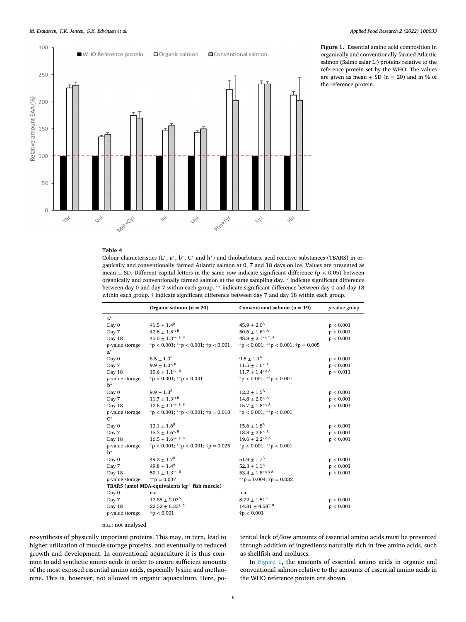<span id="page-5-0"></span>

**Figure 1.** Essential amino acid composition in organically and conventionally farmed Atlantic salmon (Salmo salar L.) proteins relative to the reference protein set by the WHO. The values are given as mean  $\pm$  SD (n = 20) and in % of the reference protein.

# **Table 4**

Colour characteristics (L<sup>∗</sup>, a<sup>∗</sup>, b<sup>∗</sup>, C<sup>∗</sup> and h<sup>∗</sup>) and thiobarbituric acid reactive substances (TBARS) in organically and conventionally farmed Atlantic salmon at 0, 7 and 18 days on ice. Values are presented as mean  $\pm$  SD. Different capital letters in the same row indicate significant difference ( $p < 0.05$ ) between organically and conventionally farmed salmon at the same sampling day. <sup>∗</sup> indicate significant difference between day 0 and day 7 within each group. \*\* indicate significant difference between day 0 and day 18 within each group. † indicate significant difference between day 7 and day 18 within each group.

|                                    | Organic salmon $(n = 20)$                                | Conventional salmon $(n = 19)$                  | <i>p</i> -value group |
|------------------------------------|----------------------------------------------------------|-------------------------------------------------|-----------------------|
| $\mathbf{L}^*$                     |                                                          |                                                 |                       |
| Day 0                              | $41.5 \pm 1.4^B$                                         | $45.9 + 2.0A$                                   | p < 0.001             |
| Day 7                              | $42.6 \pm 1.5$ <sup>*; B</sup>                           | $50.6 \pm 1.6$ <sup>*; A</sup>                  | p < 0.001             |
| Day 18                             | 45.0 $\pm$ 1.3**; <sup>†; B</sup>                        | 48.8 $\pm$ 2.1**; <sup>†</sup> ; <sup>A</sup>   | p < 0.001             |
| p-value storage                    | $p < 0.001$ ; **p < 0.001; $\uparrow p < 0.001$          | $p < 0.001$ ; **p < 0.001; $\uparrow p = 0.005$ |                       |
| $a^*$                              |                                                          |                                                 |                       |
| Day 0                              | $8.5 \pm 1.0^B$                                          | $9.6 \pm 1.1^{\rm A}$                           | p < 0.001             |
| Day 7                              | $9.9 \pm 1.0$ <sup>*; B</sup>                            | $11.5 \pm 1.6$ <sup>*; A</sup>                  | p < 0.001             |
| Day 18                             | $10.6 \pm 1.1***$                                        | $11.7 \pm 1.4***$                               | $p = 0.011$           |
| <i>p</i> -value storage            | $p < 0.001$ ; **p $< 0.001$                              | $p < 0.001$ ; **p $< 0.001$                     |                       |
| $\mathbf{b}^*$                     |                                                          |                                                 |                       |
| Day 0                              | $9.9 \pm 1.3^{B}$                                        | $12.2 \pm 1.5^{\rm A}$                          | p < 0.001             |
| Day 7                              | $11.7 \pm 1.3$ <sup>*; B</sup>                           | $14.8 \pm 2.0$ <sup>*; A</sup>                  | p < 0.001             |
| Day 18                             | $12.6 \pm 1.1***$ ; i; B                                 | $15.7 \pm 1.8***$                               | p < 0.001             |
| <i>p</i> -value storage            | $p < 0.001$ ; **p < 0.001; $\uparrow p = 0.018$          | $p < 0.001$ ; **p $< 0.001$                     |                       |
| $C^*$                              |                                                          |                                                 |                       |
| Day 0                              | $13.1 \pm 1.6^B$                                         | $15.6 \pm 1.8^{\rm A}$                          | p < 0.001             |
| Day 7                              | $15.3 \pm 1.6$ <sup>*; B</sup>                           | $18.8 \pm 2.6$ <sup>*; A</sup>                  | p < 0.001             |
| Day 18                             | $16.5 \pm 1.6***$ ; †; B                                 | $19.6 \pm 2.2$ **; A                            | p < 0.001             |
| <i>p</i> -value storage            | $p < 0.001$ ; **p $< 0.001$ ; †p = 0.025                 | $p < 0.001$ ; **p $< 0.001$                     |                       |
| $h^*$                              |                                                          |                                                 |                       |
| Day 0                              | $49.2 \pm 1.7^{\rm B}$                                   | $51.9 \pm 1.7^{\rm A}$                          | p < 0.001             |
| Day 7                              | $49.8 \pm 1.4^B$                                         | $52.3 \pm 1.1^{\rm A}$                          | p < 0.001             |
| Day 18                             | $50.1 \pm 1.3$ **; B                                     | 53.4 $\pm$ 1.8**; <sup>†</sup> ; <sup>A</sup>   | p < 0.001             |
| $p$ -value storage $*$ $p = 0.037$ |                                                          | **p = 0.004; $\uparrow p$ = 0.032               |                       |
|                                    | TBARS ( $\mu$ mol MDA-equivalents $kg^{-1}$ fish muscle) |                                                 |                       |
| Day 0                              | n.a.                                                     | n.a.                                            |                       |
| Day 7                              | $12.85 \pm 2.07^{\rm A}$                                 | $8.72 \pm 1.51^{\rm B}$                         | p < 0.001             |
| Day 18                             | $22.52 \pm 6.33^{\dagger; A}$                            | $14.81 \pm 4.58^{\dagger;\;B}$                  | p < 0.001             |
| <i>p</i> -value storage            | ${\dagger}$ p < 0.001                                    | ${\dagger}$ p < 0.001                           |                       |
|                                    |                                                          |                                                 |                       |

n.a.: not analysed

re-synthesis of physically important proteins. This may, in turn, lead to higher utilization of muscle storage proteins, and eventually to reduced growth and development. In conventional aquaculture it is thus common to add synthetic amino acids in order to ensure sufficient amounts of the most exposed essential amino acids, especially lysine and methionine. This is, however, not allowed in organic aquaculture. Here, po-

tential lack of/low amounts of essential amino acids must be prevented through addition of ingredients naturally rich in free amino acids, such as shellfish and molluscs.

In Figure 1, the amounts of essential amino acids in organic and conventional salmon relative to the amounts of essential amino acids in the WHO reference protein are shown.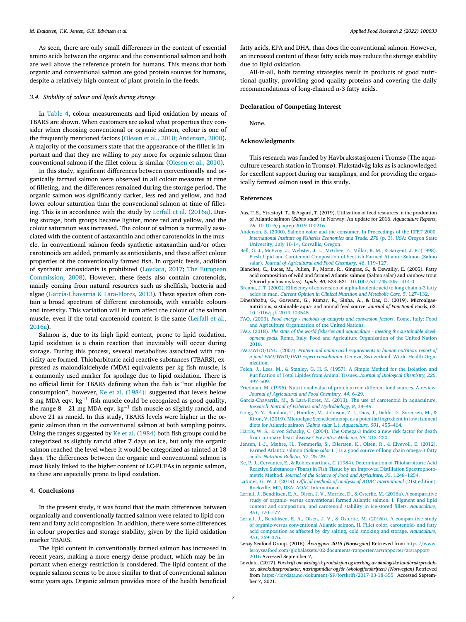<span id="page-6-0"></span>As seen, there are only small differences in the content of essential amino acids between the organic and the conventional salmon and both are well above the reference protein for humans. This means that both organic and conventional salmon are good protein sources for humans, despite a relatively high content of plant protein in the feeds.

## *3.4. Stability of colour and lipids during storage*

In [Table](#page-5-0) 4, colour measurements and lipid oxidation by means of TBARS are shown. When customers are asked what properties they consider when choosing conventional or organic salmon, colour is one of the frequently mentioned factors [\(Olesen](#page-7-0) et al., 2010; Anderson, 2000). A majority of the consumers state that the appearance of the fillet is important and that they are willing to pay more for organic salmon than conventional salmon if the fillet colour is similar [\(Olesen](#page-7-0) et al., 2010).

In this study, significant differences between conventionally and organically farmed salmon were observed in all colour measures at time of filleting, and the differences remained during the storage period. The organic salmon was significantly darker, less red and yellow, and had lower colour saturation than the conventional salmon at time of filleting. This is in accordance with the study by Lerfall et al. (2016a). During storage, both groups became lighter, more red and yellow, and the colour saturation was increased. The colour of salmon is normally associated with the content of astaxanthin and other carotenoids in the muscle. In conventional salmon feeds synthetic astaxanthin and/or other carotenoids are added, primarily as antioxidants, and these affect colour properties of the conventionally farmed fish. In organic feeds, addition of synthetic antioxidants is prohibited (Lovdata, 2017; The European [Commission,](#page-7-0) 2008). However, these feeds also contain carotenoids, mainly coming from natural resources such as shellfish, bacteria and algae (Garcia-Chavarria & Lara-Flores, 2013). These species often contain a broad spectrum of different carotenoids, with variable colours and intensity. This variation will in turn affect the colour of the salmon muscle, even if the total carotenoid content is the same (Lerfall et al., 2016a).

Salmon is, due to its high lipid content, prone to lipid oxidation. Lipid oxidation is a chain reaction that inevitably will occur during storage. During this process, several metabolites associated with rancidity are formed. Thiobarbituric acid reactive substances (TBARS), expressed as malondialdehyde (MDA) equivalents per kg fish muscle, is a commonly used marker for spoilage due to lipid oxidation. There is no official limit for TBARS defining when the fish is "not eligible for consumption", however, Ke et al. (1984)] suggested that levels below 8 mg MDA eqv. kg−<sup>1</sup> fish muscle could be recognized as good quality, the range 8 – 21 mg MDA eqv. kg−<sup>1</sup> fish muscle as slightly rancid, and above 21 as rancid. In this study, TBARS levels were higher in the organic salmon than in the conventional salmon at both sampling points. Using the ranges suggested by Ke et al. (1984) both fish groups could be categorized as slightly rancid after 7 days on ice, but only the organic salmon reached the level where it would be categorized as tainted at 18 days. The differences between the organic and conventional salmon is most likely linked to the higher content of LC-PUFAs in organic salmon, as these are especially prone to lipid oxidation.

#### **4. Conclusions**

In the present study, it was found that the main differences between organically and conventionally farmed salmon were related to lipid content and fatty acid composition. In addition, there were some differences in colour properties and storage stability, given by the lipid oxidation marker TBARS.

The lipid content in conventionally farmed salmon has increased in recent years, making a more energy dense product, which may be important when energy restriction is considered. The lipid content of the organic salmon seems to be more similar to that of conventional salmon some years ago. Organic salmon provides more of the health beneficial fatty acids, EPA and DHA, than does the conventional salmon. However, an increased content of these fatty acids may reduce the storage stability due to lipid oxidation.

All-in-all, both farming strategies result in products of good nutritional quality, providing good quality proteins and covering the daily recommendations of long-chained n-3 fatty acids.

#### **Declaration of Competing Interest**

None.

## **Acknowledgments**

This research was funded by Havbruksstasjonen i Tromsø (The aquaculture research station in Tromsø). Flakstadvåg laks as is acknowledged for excellent support during our samplings, and for providing the organically farmed salmon used in this study.

#### **References**

- Aas, T. S., Ytrestoyl, T., & Asgard, T. (2019). Utilization of feed resources in the production of Atlantic salmon (*Salmo salar*) in Norway: An update for 2016. *Aquaculture Reports, 15*. [10.1016/j.aqrep.2019.100216.](https://doi.org/10.1016/j.aqrep.2019.100216)
- [Anderson,](http://refhub.elsevier.com/S2772-5022(21)00033-0/sbref0002) S. (2000). Salmon color and the consumer. In Proceedings of the IIFET 2000*. [International](http://refhub.elsevier.com/S2772-5022(21)00033-0/sbref0002) Institute og Fisheries Economics and Trade: 278* (p. 3). USA: Oregon State University, July 10-14, Corvallis, Oregon.
- [Bell,](http://refhub.elsevier.com/S2772-5022(21)00033-0/sbref0003) G. J., [McEvoy,](http://refhub.elsevier.com/S2772-5022(21)00033-0/sbref0003) J., [Webster,](http://refhub.elsevier.com/S2772-5022(21)00033-0/sbref0003) J. L., [McGhee,](http://refhub.elsevier.com/S2772-5022(21)00033-0/sbref0003) F., [Millar,](http://refhub.elsevier.com/S2772-5022(21)00033-0/sbref0003) R. M., [&](http://refhub.elsevier.com/S2772-5022(21)00033-0/sbref0003) [Sargent,](http://refhub.elsevier.com/S2772-5022(21)00033-0/sbref0003) J. R. (1998). Flesh Lipid and Carotenoid [Composition](http://refhub.elsevier.com/S2772-5022(21)00033-0/sbref0003) of Scottish Farmed Atlantic Salmon (Salmo salar). *Journal of Agricultural and Food Chemistry, 46*, 119–127.
- Blanchet, C., Lucas, M., Julien, P., Morin, R., Gingras, S., & Dewailly, E. (2005). Fatty acid composition of wild and farmed Atlantic salmon (Salmo salar) and rainbow trout (Oncorhynchus mykiss). *Lipids, 40*, 529–531. [10.1007/s11745-005-1414-0.](https://doi.org/10.1007/s11745-005-1414-0)
- [Brenna,](http://refhub.elsevier.com/S2772-5022(21)00033-0/sbref0005) J. T. (2002). Efficiency of conversion of [alpha-linolenic](http://refhub.elsevier.com/S2772-5022(21)00033-0/sbref0005) acid to long chain n-3 fatty acids in man. *Current Opinion in Clinical Nutrition and Metabolic Care, 5*, 127–132.
- Dineshbabu, G., Goswami, G., Kumar, R., Sinha, A., & Das, D. (2019). Microalgaenutritious, sustainable aqua- and animal feed source. *Journal of Functional Foods, 62*. [10.1016/j.jff.2019.103545.](https://doi.org/10.1016/j.jff.2019.103545)
- FAO. (2003). *Food energy - methods of analysis and conversion factors*. Rome, Italy: Food and Agriculture [Organization](http://refhub.elsevier.com/S2772-5022(21)00033-0/sbref0007) of the United Nations.
- FAO. (2018). *The state of the world fisheries and aquaculture - meeting the sustainable development goals*. Rome, Italy: Food and Agriculture [Organization](http://refhub.elsevier.com/S2772-5022(21)00033-0/sbref0008) of the United Nation 2018.
- [FAO/WHO/UNU.](http://refhub.elsevier.com/S2772-5022(21)00033-0/sbref0009) (2007). *Protein and amino acid requirements in human nutrition: report of a joint FAO/WHO/UNU expert consultation*. Geneva, Switzerland: World Health Organization.
- [Folch,](http://refhub.elsevier.com/S2772-5022(21)00033-0/sbref0010) J., [Lees,](http://refhub.elsevier.com/S2772-5022(21)00033-0/sbref0010) M., [&](http://refhub.elsevier.com/S2772-5022(21)00033-0/sbref0010) [Stanley,](http://refhub.elsevier.com/S2772-5022(21)00033-0/sbref0010) G. H. S. (1957). A Simple Method for the Isolation and [Purification](http://refhub.elsevier.com/S2772-5022(21)00033-0/sbref0010) of Total Lipides from Animal Tissues. *Journal of Biological Chemistry, 226*, 497–509.
- [Friedman,](http://refhub.elsevier.com/S2772-5022(21)00033-0/sbref0011) M. (1996). Nutritional value of proteins from different food sources. A review. *Journal of [Agricultural](http://refhub.elsevier.com/S2772-5022(21)00033-0/sbref0011) and Food Chemistry, 44*, 6–29.
- [Garcia-Chavarria,](http://refhub.elsevier.com/S2772-5022(21)00033-0/sbref0012) M., [&](http://refhub.elsevier.com/S2772-5022(21)00033-0/sbref0012) [Lara-Flores,](http://refhub.elsevier.com/S2772-5022(21)00033-0/sbref0012) M. (2013). The use of carotenoid in aquaculture. *Research Journal of Fisheries and Hydrobiology, 8*, 38–49.
- [Gong,](http://refhub.elsevier.com/S2772-5022(21)00033-0/sbref0013) Y. Y., [Bandara,](http://refhub.elsevier.com/S2772-5022(21)00033-0/sbref0013) T., [Huntley,](http://refhub.elsevier.com/S2772-5022(21)00033-0/sbref0013) M., [Johnson,](http://refhub.elsevier.com/S2772-5022(21)00033-0/sbref0013) Z. I., [Dias,](http://refhub.elsevier.com/S2772-5022(21)00033-0/sbref0013) J., [Dahle,](http://refhub.elsevier.com/S2772-5022(21)00033-0/sbref0013) D., [Sorensen,](http://refhub.elsevier.com/S2772-5022(21)00033-0/sbref0013) M., [&](http://refhub.elsevier.com/S2772-5022(21)00033-0/sbref0013) [Kiron,](http://refhub.elsevier.com/S2772-5022(21)00033-0/sbref0013) V. (2019). Microalgae [Scenedesmus](http://refhub.elsevier.com/S2772-5022(21)00033-0/sbref0013) sp. as a potential ingredient in low fishmeal diets for Atlantic salmon (*Salmo salar* L.). *Aquaculture, 501*, 455–464.
- [Harris,](http://refhub.elsevier.com/S2772-5022(21)00033-0/sbref0014) W. S., [&](http://refhub.elsevier.com/S2772-5022(21)00033-0/sbref0014) von [Schacky,](http://refhub.elsevier.com/S2772-5022(21)00033-0/sbref0014) C. (2004). The Omega-3 Index: a new risk factor for death from coronary heart disease? *[Preventive](http://refhub.elsevier.com/S2772-5022(21)00033-0/sbref0014) Medicine, 39*, 212–220.
- [Jensen,](http://refhub.elsevier.com/S2772-5022(21)00033-0/sbref0015) I.-J., [Mæhre,](http://refhub.elsevier.com/S2772-5022(21)00033-0/sbref0015) H., [Tømmerås,](http://refhub.elsevier.com/S2772-5022(21)00033-0/sbref0015) S., [Eilertsen,](http://refhub.elsevier.com/S2772-5022(21)00033-0/sbref0015) K., [Olsen,](http://refhub.elsevier.com/S2772-5022(21)00033-0/sbref0015) R., [&](http://refhub.elsevier.com/S2772-5022(21)00033-0/sbref0015) [Elvevoll,](http://refhub.elsevier.com/S2772-5022(21)00033-0/sbref0015) E. (2012). Farmed Atlantic salmon (*Salmo salar* L.) is a good source of long chain omega-3 fatty acids. *Nutrition Bulletin, 37*, 25–29.
- [Ke,](http://refhub.elsevier.com/S2772-5022(21)00033-0/sbref0016) P. J., [Cervantes,](http://refhub.elsevier.com/S2772-5022(21)00033-0/sbref0016) E., [&](http://refhub.elsevier.com/S2772-5022(21)00033-0/sbref0016) [Roblesmartinez,](http://refhub.elsevier.com/S2772-5022(21)00033-0/sbref0016) C. (1984). Determination of Thiobarbituric Acid Reactive Substances (Tbars) in Fish Tissue by an Improved Distillation Spectrophotometric Method. *Journal of the Science of Food and Agriculture, 35*, 1248–1254.
- [Latimer,](http://refhub.elsevier.com/S2772-5022(21)00033-0/sbref0017) G. W. J. (2019). *Official methods of analysis of AOAC International* (21st edition). Rockville, MD, USA: AOAC [International.](http://refhub.elsevier.com/S2772-5022(21)00033-0/sbref0017)
- [Lerfall,](http://refhub.elsevier.com/S2772-5022(21)00033-0/sbref0018) J., [Bendiksen,](http://refhub.elsevier.com/S2772-5022(21)00033-0/sbref0018) E. A., [Olsen,](http://refhub.elsevier.com/S2772-5022(21)00033-0/sbref0018) J. V., [Morrice,](http://refhub.elsevier.com/S2772-5022(21)00033-0/sbref0018) D., [&](http://refhub.elsevier.com/S2772-5022(21)00033-0/sbref0018) [Osterlie,](http://refhub.elsevier.com/S2772-5022(21)00033-0/sbref0018) M. (2016a). A comparative study of organic- versus [conventional](http://refhub.elsevier.com/S2772-5022(21)00033-0/sbref0018) farmed Atlantic salmon. I. Pigment and lipid content and composition, and carotenoid stability in ice-stored fillets. *Aquaculture, 451*, 170–177.
- [Lerfall,](http://refhub.elsevier.com/S2772-5022(21)00033-0/sbref0019) J., [Bendiksen,](http://refhub.elsevier.com/S2772-5022(21)00033-0/sbref0019) E. A., [Olsen,](http://refhub.elsevier.com/S2772-5022(21)00033-0/sbref0019) J. V., [&](http://refhub.elsevier.com/S2772-5022(21)00033-0/sbref0019) [Osterlie,](http://refhub.elsevier.com/S2772-5022(21)00033-0/sbref0019) M. (2016b). A comparative study of [organic-versus](http://refhub.elsevier.com/S2772-5022(21)00033-0/sbref0019) conventional Atlantic salmon. II. Fillet color, carotenoid- and fatty acid composition as affected by dry salting, cold smoking and storage. *Aquaculture, 451*, 369–376.
- Lerøy Seafood Group. (2016). *Årsrapport 2016 [Norwegian]* Retrieved from https://www. [leroyseafood.com/globalassets/02-documents/rapporter/arsrapporter/arsrapport-](https://www.leroyseafood.com/globalassets/02-documents/rapporter/arsrapporter/arsrapport-2016)2016 Accessed September 7
- Lovdata. (2017). *Forskrift om økologisk produksjon og merking av økologiske landbruksprodukter, akvakulturprodukter, næringsmidler og fôr (økologiforskriften) [Norwegian]* Retrieved from <https://lovdata.no/dokument/SF/forskrift/2017-03-18-355> Accessed September 7, 2021.